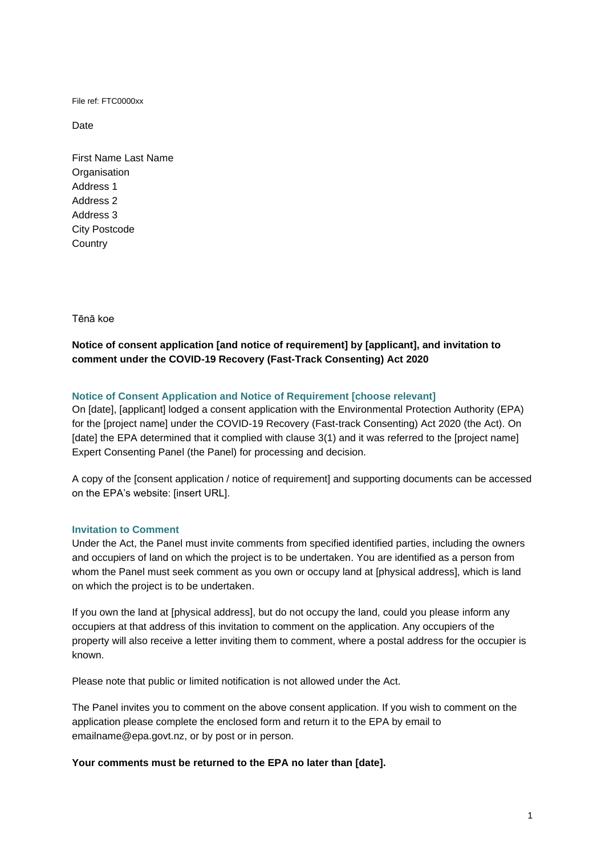File ref: FTC0000xx

Date

First Name Last Name **Organisation** Address 1 Address 2 Address 3 City Postcode **Country** 

Tēnā koe

# **Notice of consent application [and notice of requirement] by [applicant], and invitation to comment under the COVID-19 Recovery (Fast-Track Consenting) Act 2020**

## **Notice of Consent Application and Notice of Requirement [choose relevant]**

On [date], [applicant] lodged a consent application with the Environmental Protection Authority (EPA) for the [project name] under the COVID-19 Recovery (Fast-track Consenting) Act 2020 (the Act). On [date] the EPA determined that it complied with clause 3(1) and it was referred to the [project name] Expert Consenting Panel (the Panel) for processing and decision.

A copy of the [consent application / notice of requirement] and supporting documents can be accessed on the EPA's website: [insert URL].

## **Invitation to Comment**

Under the Act, the Panel must invite comments from specified identified parties, including the owners and occupiers of land on which the project is to be undertaken. You are identified as a person from whom the Panel must seek comment as you own or occupy land at [physical address], which is land on which the project is to be undertaken.

If you own the land at [physical address], but do not occupy the land, could you please inform any occupiers at that address of this invitation to comment on the application. Any occupiers of the property will also receive a letter inviting them to comment, where a postal address for the occupier is known.

Please note that public or limited notification is not allowed under the Act.

The Panel invites you to comment on the above consent application. If you wish to comment on the application please complete the enclosed form and return it to the EPA by email to emailname@epa.govt.nz, or by post or in person.

## **Your comments must be returned to the EPA no later than [date].**